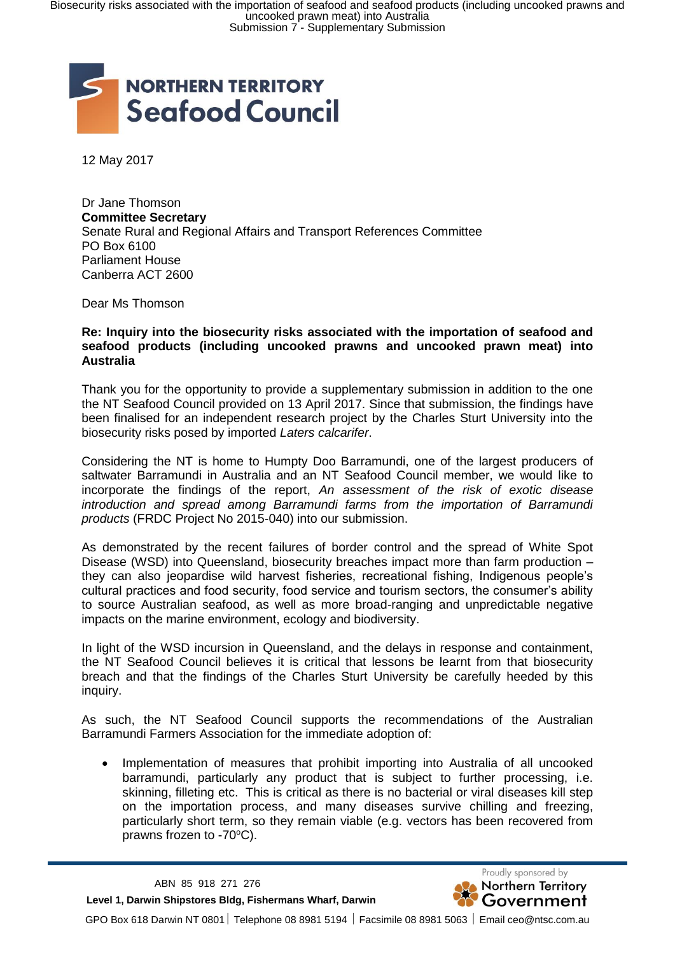

12 May 2017

Dr Jane Thomson **Committee Secretary** Senate Rural and Regional Affairs and Transport References Committee PO Box 6100 Parliament House Canberra ACT 2600

Dear Ms Thomson

## **Re: Inquiry into the biosecurity risks associated with the importation of seafood and seafood products (including uncooked prawns and uncooked prawn meat) into Australia**

Thank you for the opportunity to provide a supplementary submission in addition to the one the NT Seafood Council provided on 13 April 2017. Since that submission, the findings have been finalised for an independent research project by the Charles Sturt University into the biosecurity risks posed by imported *Laters calcarifer*.

Considering the NT is home to Humpty Doo Barramundi, one of the largest producers of saltwater Barramundi in Australia and an NT Seafood Council member, we would like to incorporate the findings of the report, *An assessment of the risk of exotic disease introduction and spread among Barramundi farms from the importation of Barramundi products* (FRDC Project No 2015-040) into our submission.

As demonstrated by the recent failures of border control and the spread of White Spot Disease (WSD) into Queensland, biosecurity breaches impact more than farm production – they can also jeopardise wild harvest fisheries, recreational fishing, Indigenous people's cultural practices and food security, food service and tourism sectors, the consumer's ability to source Australian seafood, as well as more broad-ranging and unpredictable negative impacts on the marine environment, ecology and biodiversity.

In light of the WSD incursion in Queensland, and the delays in response and containment, the NT Seafood Council believes it is critical that lessons be learnt from that biosecurity breach and that the findings of the Charles Sturt University be carefully heeded by this inquiry.

As such, the NT Seafood Council supports the recommendations of the Australian Barramundi Farmers Association for the immediate adoption of:

 Implementation of measures that prohibit importing into Australia of all uncooked barramundi, particularly any product that is subject to further processing, i.e. skinning, filleting etc. This is critical as there is no bacterial or viral diseases kill step on the importation process, and many diseases survive chilling and freezing, particularly short term, so they remain viable (e.g. vectors has been recovered from prawns frozen to  $-70^{\circ}$ C).

 **Level 1, Darwin Shipstores Bldg, Fishermans Wharf, Darwin**



GPO Box 618 Darwin NT 0801 Telephone 08 8981 5194 Facsimile 08 8981 5063 Email ceo@ntsc.com.au